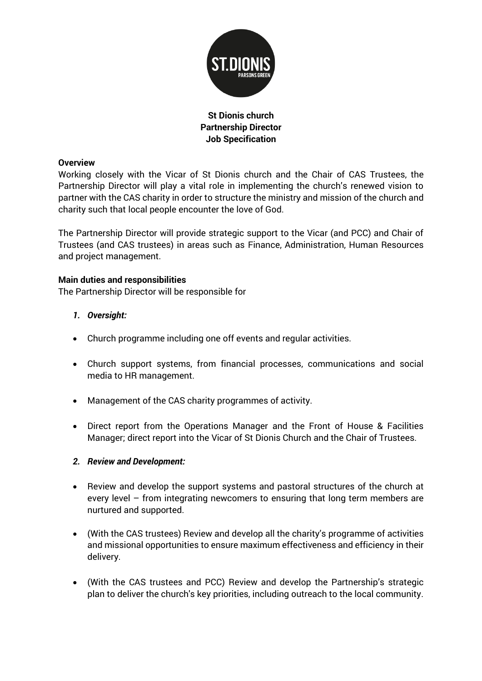

## **St Dionis church Partnership Director Job Specification**

### **Overview**

Working closely with the Vicar of St Dionis church and the Chair of CAS Trustees, the Partnership Director will play a vital role in implementing the church's renewed vision to partner with the CAS charity in order to structure the ministry and mission of the church and charity such that local people encounter the love of God.

The Partnership Director will provide strategic support to the Vicar (and PCC) and Chair of Trustees (and CAS trustees) in areas such as Finance, Administration, Human Resources and project management.

#### **Main duties and responsibilities**

The Partnership Director will be responsible for

### *1. Oversight:*

- Church programme including one off events and regular activities.
- Church support systems, from financial processes, communications and social media to HR management.
- Management of the CAS charity programmes of activity.
- Direct report from the Operations Manager and the Front of House & Facilities Manager; direct report into the Vicar of St Dionis Church and the Chair of Trustees.

### *2. Review and Development:*

- Review and develop the support systems and pastoral structures of the church at every level – from integrating newcomers to ensuring that long term members are nurtured and supported.
- (With the CAS trustees) Review and develop all the charity's programme of activities and missional opportunities to ensure maximum effectiveness and efficiency in their delivery.
- (With the CAS trustees and PCC) Review and develop the Partnership's strategic plan to deliver the church's key priorities, including outreach to the local community.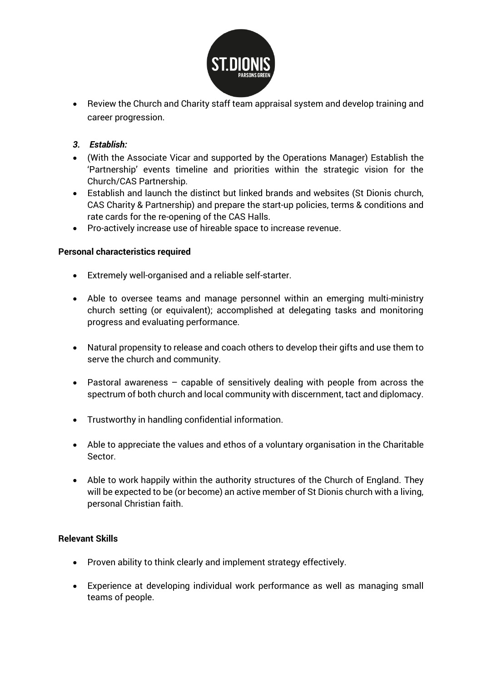

• Review the Church and Charity staff team appraisal system and develop training and career progression.

## *3. Establish:*

- (With the Associate Vicar and supported by the Operations Manager) Establish the 'Partnership' events timeline and priorities within the strategic vision for the Church/CAS Partnership.
- Establish and launch the distinct but linked brands and websites (St Dionis church, CAS Charity & Partnership) and prepare the start-up policies, terms & conditions and rate cards for the re-opening of the CAS Halls.
- Pro-actively increase use of hireable space to increase revenue.

### **Personal characteristics required**

- Extremely well-organised and a reliable self-starter.
- Able to oversee teams and manage personnel within an emerging multi-ministry church setting (or equivalent); accomplished at delegating tasks and monitoring progress and evaluating performance.
- Natural propensity to release and coach others to develop their gifts and use them to serve the church and community.
- Pastoral awareness capable of sensitively dealing with people from across the spectrum of both church and local community with discernment, tact and diplomacy.
- Trustworthy in handling confidential information.
- Able to appreciate the values and ethos of a voluntary organisation in the Charitable Sector.
- Able to work happily within the authority structures of the Church of England. They will be expected to be (or become) an active member of St Dionis church with a living, personal Christian faith.

### **Relevant Skills**

- Proven ability to think clearly and implement strategy effectively.
- Experience at developing individual work performance as well as managing small teams of people.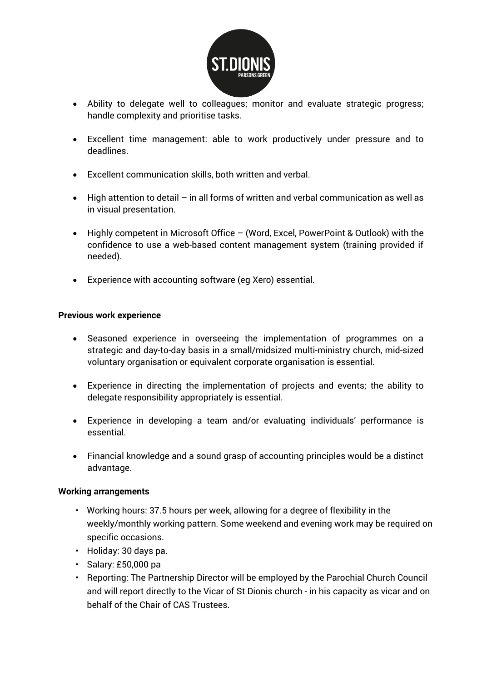

- Ability to delegate well to colleagues; monitor and evaluate strategic progress; handle complexity and prioritise tasks.
- Excellent time management: able to work productively under pressure and to deadlines.
- Excellent communication skills, both written and verbal.
- High attention to detail in all forms of written and verbal communication as well as in visual presentation.
- Highly competent in Microsoft Office (Word, Excel, PowerPoint & Outlook) with the confidence to use a web-based content management system (training provided if needed).
- Experience with accounting software (eg Xero) essential.

### **Previous work experience**

- Seasoned experience in overseeing the implementation of programmes on a strategic and day-to-day basis in a small/midsized multi-ministry church, mid-sized voluntary organisation or equivalent corporate organisation is essential.
- Experience in directing the implementation of projects and events; the ability to delegate responsibility appropriately is essential.
- Experience in developing a team and/or evaluating individuals' performance is essential.
- Financial knowledge and a sound grasp of accounting principles would be a distinct advantage.

#### **Working arrangements**

- Working hours: 37.5 hours per week, allowing for a degree of flexibility in the weekly/monthly working pattern. Some weekend and evening work may be required on specific occasions.
- Holiday: 30 days pa.
- Salary: £50,000 pa
- Reporting: The Partnership Director will be employed by the Parochial Church Council and will report directly to the Vicar of St Dionis church - in his capacity as vicar and on behalf of the Chair of CAS Trustees.